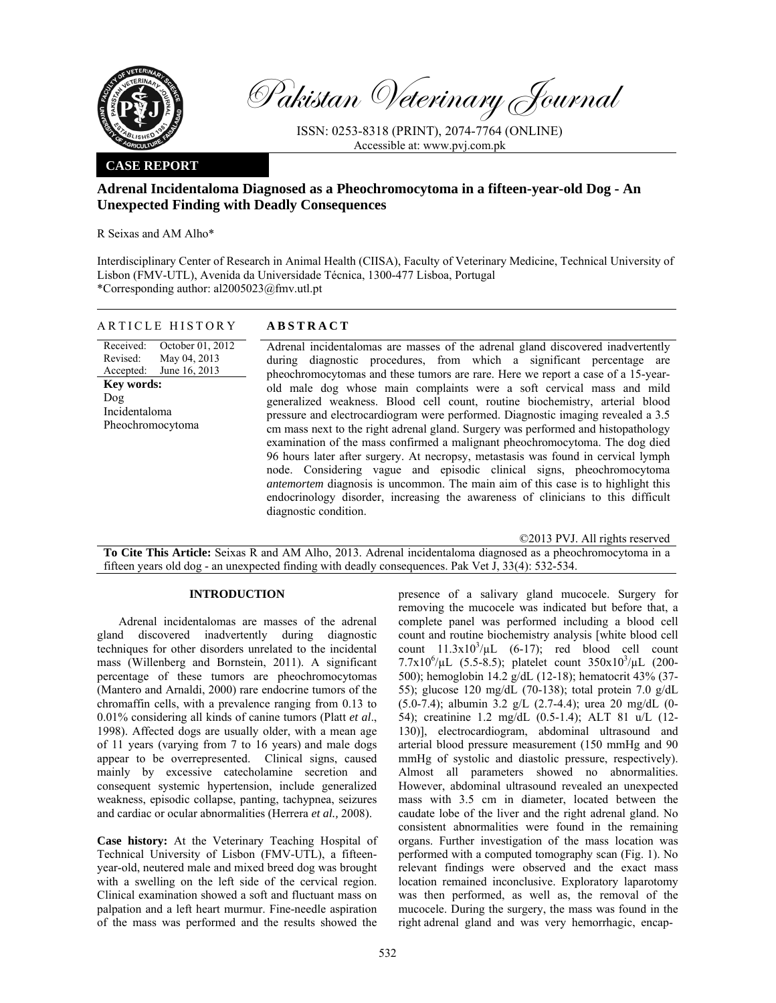

Pakistan Veterinary Journal

ISSN: 0253-8318 (PRINT), 2074-7764 (ONLINE) Accessible at: www.pvj.com.pk

# **CASE REPORT**

# **Adrenal Incidentaloma Diagnosed as a Pheochromocytoma in a fifteen-year-old Dog - An Unexpected Finding with Deadly Consequences**

R Seixas and AM Alho\*

Interdisciplinary Center of Research in Animal Health (CIISA), Faculty of Veterinary Medicine, Technical University of Lisbon (FMV-UTL), Avenida da Universidade Técnica, 1300-477 Lisboa, Portugal \*Corresponding author: al2005023@fmv.utl.pt

| ARTICLE HISTORY                                                                                                                                          | <b>ABSTRACT</b>                                                                                                                                                                                                                                                                                                                                                                                                                                                                                                                                                                                                                                                                                                                                                                                                                                                                                                                                                                                                                      |
|----------------------------------------------------------------------------------------------------------------------------------------------------------|--------------------------------------------------------------------------------------------------------------------------------------------------------------------------------------------------------------------------------------------------------------------------------------------------------------------------------------------------------------------------------------------------------------------------------------------------------------------------------------------------------------------------------------------------------------------------------------------------------------------------------------------------------------------------------------------------------------------------------------------------------------------------------------------------------------------------------------------------------------------------------------------------------------------------------------------------------------------------------------------------------------------------------------|
| Received:<br>October 01, 2012<br>May 04, 2013<br>Revised:<br>June 16, 2013<br>Accepted:<br><b>Key words:</b><br>Dog<br>Incidentaloma<br>Pheochromocytoma | Adrenal incidentalomas are masses of the adrenal gland discovered inadvertently<br>during diagnostic procedures, from which a significant percentage are<br>pheochromocytomas and these tumors are rare. Here we report a case of a 15-year-<br>old male dog whose main complaints were a soft cervical mass and mild<br>generalized weakness. Blood cell count, routine biochemistry, arterial blood<br>pressure and electrocardiogram were performed. Diagnostic imaging revealed a 3.5<br>cm mass next to the right adrenal gland. Surgery was performed and histopathology<br>examination of the mass confirmed a malignant pheochromocytoma. The dog died<br>96 hours later after surgery. At necropsy, metastasis was found in cervical lymph<br>node. Considering vague and episodic clinical signs, pheochromocytoma<br><i>antemortem</i> diagnosis is uncommon. The main aim of this case is to highlight this<br>endocrinology disorder, increasing the awareness of clinicians to this difficult<br>diagnostic condition. |

©2013 PVJ. All rights reserved

**To Cite This Article:** Seixas R and AM Alho, 2013. Adrenal incidentaloma diagnosed as a pheochromocytoma in a fifteen years old dog - an unexpected finding with deadly consequences. Pak Vet J, 33(4): 532-534.

### **INTRODUCTION**

Adrenal incidentalomas are masses of the adrenal gland discovered inadvertently during diagnostic techniques for other disorders unrelated to the incidental mass (Willenberg and Bornstein, 2011). A significant percentage of these tumors are pheochromocytomas (Mantero and Arnaldi, 2000) rare endocrine tumors of the chromaffin cells, with a prevalence ranging from 0.13 to 0.01% considering all kinds of canine tumors (Platt *et al*., 1998). Affected dogs are usually older, with a mean age of 11 years (varying from 7 to 16 years) and male dogs appear to be overrepresented. Clinical signs, caused mainly by excessive catecholamine secretion and consequent systemic hypertension, include generalized weakness, episodic collapse, panting, tachypnea, seizures and cardiac or ocular abnormalities (Herrera *et al.,* 2008).

**Case history:** At the Veterinary Teaching Hospital of Technical University of Lisbon (FMV-UTL), a fifteenyear-old, neutered male and mixed breed dog was brought with a swelling on the left side of the cervical region. Clinical examination showed a soft and fluctuant mass on palpation and a left heart murmur. Fine-needle aspiration of the mass was performed and the results showed the

presence of a salivary gland mucocele. Surgery for removing the mucocele was indicated but before that, a complete panel was performed including a blood cell count and routine biochemistry analysis [white blood cell count  $11.3 \times 10^3/\mu L$  (6-17); red blood cell count  $7.7 \times 10^6/\mu$ L (5.5-8.5); platelet count  $350 \times 10^3/\mu$ L (200-500); hemoglobin 14.2 g/dL (12-18); hematocrit 43% (37- 55); glucose 120 mg/dL (70-138); total protein 7.0 g/dL (5.0-7.4); albumin 3.2 g/L (2.7-4.4); urea 20 mg/dL (0- 54); creatinine 1.2 mg/dL (0.5-1.4); ALT 81 u/L (12- 130)], electrocardiogram, abdominal ultrasound and arterial blood pressure measurement (150 mmHg and 90 mmHg of systolic and diastolic pressure, respectively). Almost all parameters showed no abnormalities. However, abdominal ultrasound revealed an unexpected mass with 3.5 cm in diameter, located between the caudate lobe of the liver and the right adrenal gland. No consistent abnormalities were found in the remaining organs. Further investigation of the mass location was performed with a computed tomography scan (Fig. 1). No relevant findings were observed and the exact mass location remained inconclusive. Exploratory laparotomy was then performed, as well as, the removal of the mucocele. During the surgery, the mass was found in the right adrenal gland and was very hemorrhagic, encap-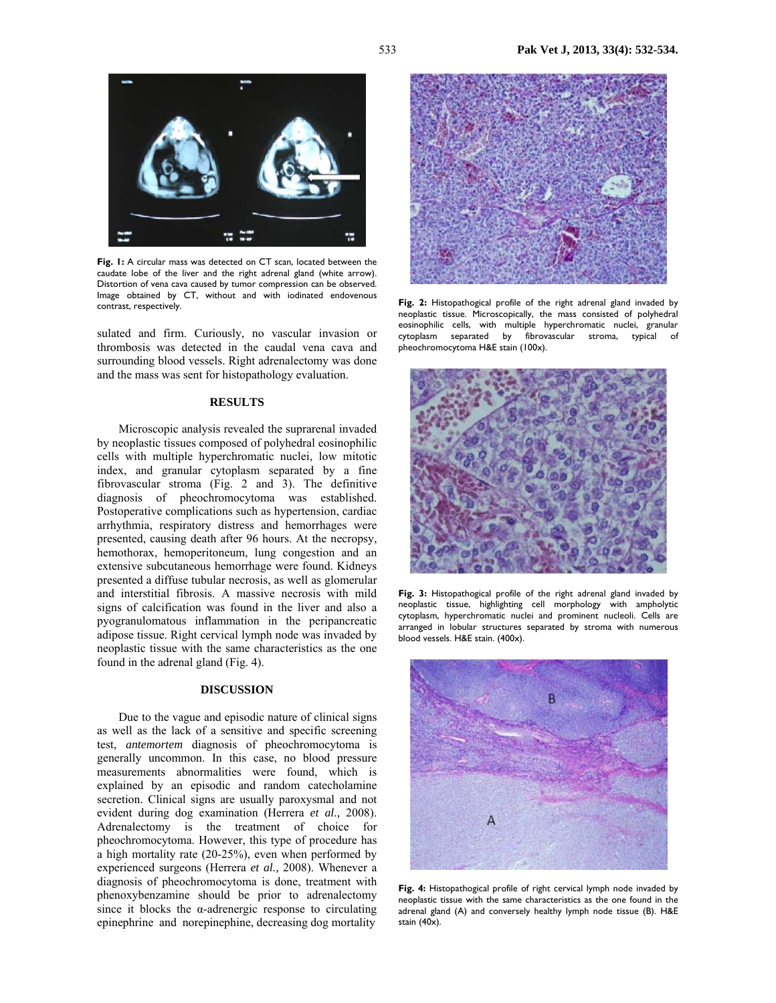

**Fig. 1:** A circular mass was detected on CT scan, located between the caudate lobe of the liver and the right adrenal gland (white arrow). Distortion of vena cava caused by tumor compression can be observed. Image obtained by CT, without and with iodinated endovenous contrast, respectively.

sulated and firm. Curiously, no vascular invasion or thrombosis was detected in the caudal vena cava and surrounding blood vessels. Right adrenalectomy was done and the mass was sent for histopathology evaluation.

#### **RESULTS**

Microscopic analysis revealed the suprarenal invaded by neoplastic tissues composed of polyhedral eosinophilic cells with multiple hyperchromatic nuclei, low mitotic index, and granular cytoplasm separated by a fine fibrovascular stroma (Fig. 2 and 3). The definitive diagnosis of pheochromocytoma was established. Postoperative complications such as hypertension, cardiac arrhythmia, respiratory distress and hemorrhages were presented, causing death after 96 hours. At the necropsy, hemothorax, hemoperitoneum, lung congestion and an extensive subcutaneous hemorrhage were found. Kidneys presented a diffuse tubular necrosis, as well as glomerular and interstitial fibrosis. A massive necrosis with mild signs of calcification was found in the liver and also a pyogranulomatous inflammation in the peripancreatic adipose tissue. Right cervical lymph node was invaded by neoplastic tissue with the same characteristics as the one found in the adrenal gland (Fig. 4).

## **DISCUSSION**

Due to the vague and episodic nature of clinical signs as well as the lack of a sensitive and specific screening test, *antemortem* diagnosis of pheochromocytoma is generally uncommon. In this case, no blood pressure measurements abnormalities were found, which is explained by an episodic and random catecholamine secretion. Clinical signs are usually paroxysmal and not evident during dog examination (Herrera *et al.,* 2008). Adrenalectomy is the treatment of choice for pheochromocytoma. However, this type of procedure has a high mortality rate (20-25%), even when performed by experienced surgeons (Herrera *et al.,* 2008). Whenever a diagnosis of pheochromocytoma is done, treatment with phenoxybenzamine should be prior to adrenalectomy since it blocks the  $\alpha$ -adrenergic response to circulating epinephrine and norepinephine, decreasing dog mortality



**Fig. 2:** Histopathogical profile of the right adrenal gland invaded by neoplastic tissue. Microscopically, the mass consisted of polyhedral eosinophilic cells, with multiple hyperchromatic nuclei, granular cytoplasm separated by fibrovascular stroma, typical of pheochromocytoma H&E stain (100x).



**Fig. 3:** Histopathogical profile of the right adrenal gland invaded by neoplastic tissue, highlighting cell morphology with ampholytic cytoplasm, hyperchromatic nuclei and prominent nucleoli. Cells are arranged in lobular structures separated by stroma with numerous blood vessels. H&E stain. (400x).



**Fig. 4:** Histopathogical profile of right cervical lymph node invaded by neoplastic tissue with the same characteristics as the one found in the adrenal gland (A) and conversely healthy lymph node tissue (B). H&E stain (40x).